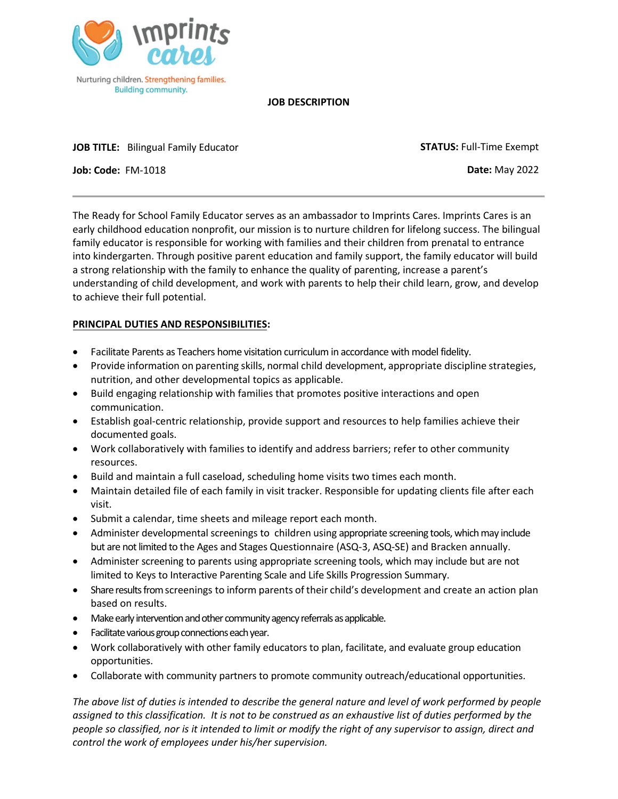

## **JOB DESCRIPTION**

**JOB TITLE:** Bilingual Family Educator

**STATUS:** Full-Time Exempt

**Job: Code:** FM-1018

**Date:** May 2022

The Ready for School Family Educator serves as an ambassador to Imprints Cares. Imprints Cares is an early childhood education nonprofit, our mission is to nurture children for lifelong success. The bilingual family educator is responsible for working with families and their children from prenatal to entrance into kindergarten. Through positive parent education and family support, the family educator will build a strong relationship with the family to enhance the quality of parenting, increase a parent's understanding of child development, and work with parents to help their child learn, grow, and develop to achieve their full potential.

## **PRINCIPAL DUTIES AND RESPONSIBILITIES:**

- Facilitate Parents as Teachers home visitation curriculum in accordance with model fidelity.
- Provide information on parenting skills, normal child development, appropriate discipline strategies, nutrition, and other developmental topics as applicable.
- Build engaging relationship with families that promotes positive interactions and open communication.
- Establish goal-centric relationship, provide support and resources to help families achieve their documented goals.
- Work collaboratively with families to identify and address barriers; refer to other community resources.
- Build and maintain a full caseload, scheduling home visits two times each month.
- Maintain detailed file of each family in visit tracker. Responsible for updating clients file after each visit.
- Submit a calendar, time sheets and mileage report each month.
- Administer developmental screenings to children using appropriate screening tools, which may include but are not limited to the Ages and Stages Questionnaire (ASQ-3, ASQ-SE) and Bracken annually.
- Administer screening to parents using appropriate screening tools, which may include but are not limited to Keys to Interactive Parenting Scale and Life Skills Progression Summary.
- Share results from screenings to inform parents of their child's development and create an action plan based on results.
- Make early intervention and other community agency referrals as applicable.
- Facilitate various group connections each year.
- Work collaboratively with other family educators to plan, facilitate, and evaluate group education opportunities.
- Collaborate with community partners to promote community outreach/educational opportunities.

*The above list of duties is intended to describe the general nature and level of work performed by people assigned to this classification. It is not to be construed as an exhaustive list of duties performed by the people so classified, nor is it intended to limit or modify the right of any supervisor to assign, direct and control the work of employees under his/her supervision.*